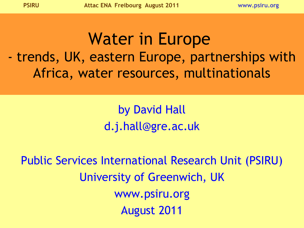# Water in Europe - trends, UK, eastern Europe, partnerships with Africa, water resources, multinationals

## by David Hall d.j.hall@gre.ac.uk

Public Services International Research Unit (PSIRU) University of Greenwich, UK www.psiru.org August 2011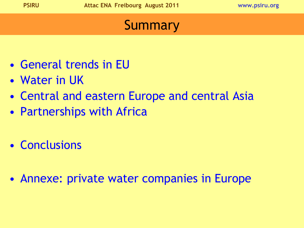### **Summary**

- General trends in EU
- Water in UK
- Central and eastern Europe and central Asia
- Partnerships with Africa
- Conclusions
- Annexe: private water companies in Europe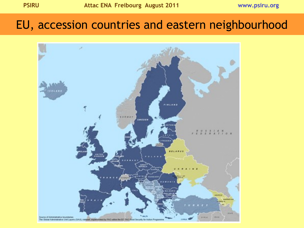#### EU, accession countries and eastern neighbourhood

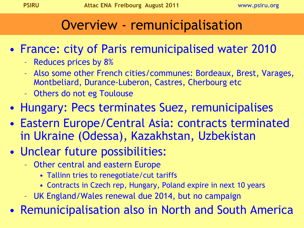#### Overview - remunicipalisation

- France: city of Paris remunicipalised water 2010
	- Reduces prices by 8%
	- Also some other French cities/communes: Bordeaux, Brest, Varages, Montbeliard, Durance-Luberon, Castres, Cherbourg etc
	- Others do not eg Toulouse
- Hungary: Pecs terminates Suez, remunicipalises
- Eastern Europe/Central Asia: contracts terminated in Ukraine (Odessa), Kazakhstan, Uzbekistan
- Unclear future possibilities:
	- Other central and eastern Europe
		- Tallinn tries to renegotiate/cut tariffs
		- Contracts in Czech rep, Hungary, Poland expire in next 10 years
	- UK England/Wales renewal due 2014, but no campaign

• Remunicipalisation also in North and South America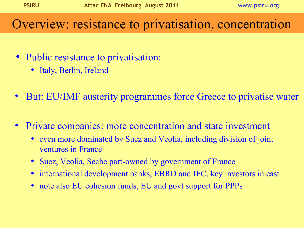#### Overview: resistance to privatisation, concentration

- Public resistance to privatisation:
	- Italy, Berlin, Ireland
- But: EU/IMF austerity programmes force Greece to privatise water
- Private companies: more concentration and state investment
	- even more dominated by Suez and Veolia, including division of joint ventures in France
	- Suez, Veolia, Seche part-owned by government of France
	- international development banks, EBRD and IFC, key investors in east
	- note also EU cohesion funds, EU and govt support for PPPs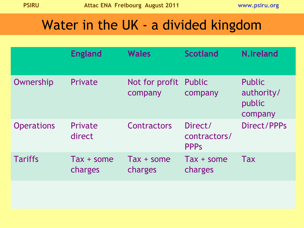### Water in the UK - a divided kingdom

|                   | <b>England</b>          | <b>Wales</b>              | <b>Scotland</b>                        | <b>N.Ireland</b>                                 |
|-------------------|-------------------------|---------------------------|----------------------------------------|--------------------------------------------------|
| Ownership         | Private                 | Not for profit<br>company | Public<br>company                      | <b>Public</b><br>authority/<br>public<br>company |
| <b>Operations</b> | Private<br>direct       | Contractors               | Direct/<br>contractors/<br><b>PPPS</b> | Direct/PPPs                                      |
| <b>Tariffs</b>    | $Tax + some$<br>charges | $Tax + some$<br>charges   | $Tax + some$<br>charges                | <b>Tax</b>                                       |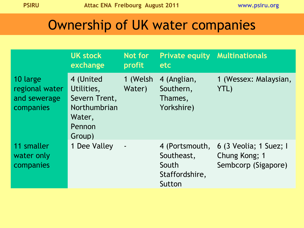## Ownership of UK water companies

|                                                         | <b>UK stock</b><br>exchange                                                            | Not for<br>profit  | <b>Private equity</b><br><b>etc</b>                               | <b>Multinationals</b>                                          |
|---------------------------------------------------------|----------------------------------------------------------------------------------------|--------------------|-------------------------------------------------------------------|----------------------------------------------------------------|
| 10 large<br>regional water<br>and sewerage<br>companies | 4 (United<br>Utilities,<br>Severn Trent,<br>Northumbrian<br>Water,<br>Pennon<br>Group) | 1 (Welsh<br>Water) | 4 (Anglian,<br>Southern,<br>Thames,<br>Yorkshire)                 | 1 (Wessex: Malaysian,<br>YTL)                                  |
| 11 smaller<br>water only<br>companies                   | 1 Dee Valley                                                                           |                    | 4 (Portsmouth,<br>Southeast,<br>South<br>Staffordshire,<br>Sutton | 6 (3 Veolia; 1 Suez; I<br>Chung Kong; 1<br>Sembcorp (Sigapore) |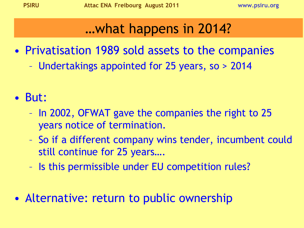## …what happens in 2014?

- Privatisation 1989 sold assets to the companies
	- Undertakings appointed for 25 years, so > 2014
- But:
	- In 2002, OFWAT gave the companies the right to 25 years notice of termination.
	- So if a different company wins tender, incumbent could still continue for 25 years….
	- Is this permissible under EU competition rules?
- Alternative: return to public ownership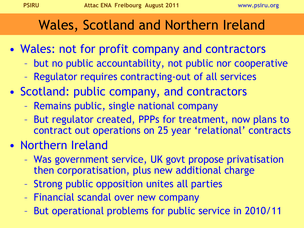## Wales, Scotland and Northern Ireland

- Wales: not for profit company and contractors
	- but no public accountability, not public nor cooperative
	- Regulator requires contracting-out of all services
- Scotland: public company, and contractors
	- Remains public, single national company
	- But regulator created, PPPs for treatment, now plans to contract out operations on 25 year 'relational' contracts
- Northern Ireland
	- Was government service, UK govt propose privatisation then corporatisation, plus new additional charge
	- Strong public opposition unites all parties
	- Financial scandal over new company
	- But operational problems for public service in 2010/11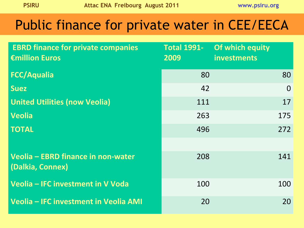## Public finance for private water in CEE/EECA

| <b>EBRD finance for private companies</b><br>€million Euros | <b>Total 1991-</b><br>2009 | Of which equity<br>investments |          |
|-------------------------------------------------------------|----------------------------|--------------------------------|----------|
| <b>FCC/Aqualia</b>                                          | 80                         |                                | 80       |
| <b>Suez</b>                                                 | 42                         |                                | $\Omega$ |
| <b>United Utilities (now Veolia)</b>                        | 111                        |                                | 17       |
| Veolia                                                      | 263                        |                                | 175      |
| <b>TOTAL</b>                                                | 496                        |                                | 272      |
|                                                             |                            |                                |          |
| Veolia - EBRD finance in non-water<br>(Dalkia, Connex)      | 208                        |                                | 141      |
| Veolia - IFC investment in V Voda                           | 100                        |                                | 100      |
| Veolia – IFC investment in Veolia AMI                       | 20                         |                                | 20       |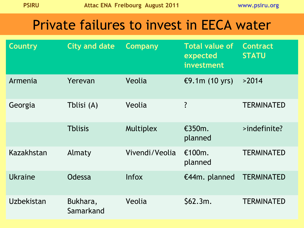#### Private failures to invest in EECA water

| <b>Country</b> | <b>City and date</b>  | <b>Company</b> | <b>Total value of</b><br>expected<br>investment | <b>Contract</b><br><b>STATU</b> |
|----------------|-----------------------|----------------|-------------------------------------------------|---------------------------------|
| Armenia        | Yerevan               | Veolia         | €9.1 $m(10$ yrs)                                | >2014                           |
| Georgia        | Tblisi (A)            | Veolia         | ?                                               | <b>TERMINATED</b>               |
|                | <b>Thlisis</b>        | Multiplex      | £350m.<br>planned                               | >indefinite?                    |
| Kazakhstan     | Almaty                | Vivendi/Veolia | €100 $m$ .<br>planned                           | <b>TERMINATED</b>               |
| Ukraine        | Odessa                | <b>Infox</b>   | €44m. planned                                   | <b>TERMINATED</b>               |
| Uzbekistan     | Bukhara,<br>Samarkand | Veolia         | \$62.3m.                                        | <b>TERMINATED</b>               |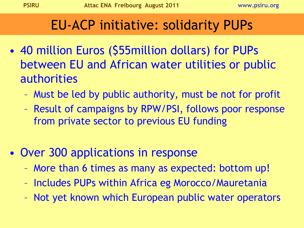### EU-ACP initiative: solidarity PUPs

- 40 million Euros (\$55 million dollars) for PUPs between EU and African water utilities or public authorities
	- Must be led by public authority, must be not for profit
	- Result of campaigns by RPW/PSI, follows poor response from private sector to previous EU funding
- Over 300 applications in response
	- More than 6 times as many as expected: bottom up!
	- Includes PUPs within Africa eg Morocco/Mauretania
	- Not yet known which European public water operators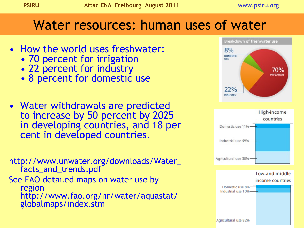#### Water resources: human uses of water

- How the world uses freshwater:
	- 70 percent for irrigation
	- 22 percent for industry
	- 8 percent for domestic use
- Water withdrawals are predicted to increase by 50 percent by 2025 in developing countries, and 18 per cent in developed countries.

http://www.unwater.org/downloads/Water\_ facts\_and\_trends.pdf See FAO detailed maps on water use by region http://www.fao.org/nr/water/aquastat/ globalmaps/index.stm



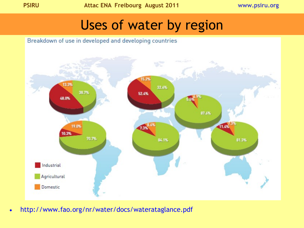### Uses of water by region



• http://www.fao.org/nr/water/docs/waterataglance.pdf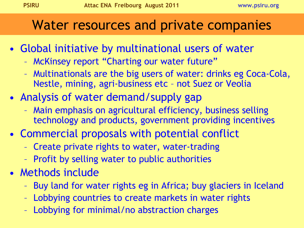### Water resources and private companies

- Global initiative by multinational users of water
	- McKinsey report "Charting our water future"
	- Multinationals are the big users of water: drinks eg Coca-Cola, Nestle, mining, agri-business etc – not Suez or Veolia
- Analysis of water demand/supply gap
	- Main emphasis on agricultural efficiency, business selling technology and products, government providing incentives
- Commercial proposals with potential conflict
	- Create private rights to water, water-trading
	- Profit by selling water to public authorities
- Methods include
	- Buy land for water rights eg in Africa; buy glaciers in Iceland
	- Lobbying countries to create markets in water rights
	- Lobbying for minimal/no abstraction charges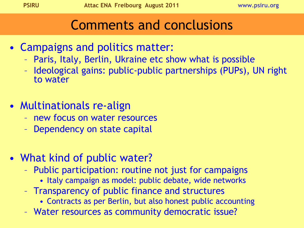#### Comments and conclusions

- Campaigns and politics matter:
	- Paris, Italy, Berlin, Ukraine etc show what is possible
	- Ideological gains: public-public partnerships (PUPs), UN right to water
- Multinationals re-align
	- new focus on water resources
	- Dependency on state capital
- What kind of public water?
	- Public participation: routine not just for campaigns
		- Italy campaign as model: public debate, wide networks
	- Transparency of public finance and structures
		- Contracts as per Berlin, but also honest public accounting
	- Water resources as community democratic issue?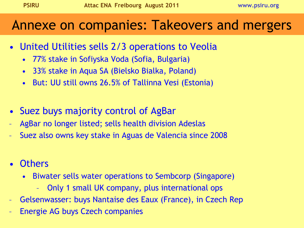#### Annexe on companies: Takeovers and mergers

- United Utilities sells 2/3 operations to Veolia
	- 77% stake in Sofiyska Voda (Sofia, Bulgaria)
	- 33% stake in Aqua SA (Bielsko Bialka, Poland)
	- But: UU still owns 26.5% of Tallinna Vesi (Estonia)
- Suez buys majority control of AgBar
- AgBar no longer listed; sells health division Adeslas
- Suez also owns key stake in Aguas de Valencia since 2008
- Others
	- Biwater sells water operations to Sembcorp (Singapore)
		- Only 1 small UK company, plus international ops
- Gelsenwasser: buys Nantaise des Eaux (France), in Czech Rep
- Energie AG buys Czech companies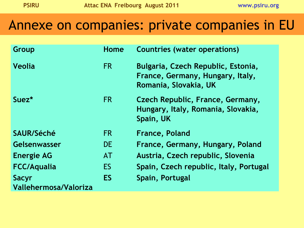#### Annexe on companies: private companies in EU

| Group                                 | Home      | <b>Countries (water operations)</b>                                                             |
|---------------------------------------|-----------|-------------------------------------------------------------------------------------------------|
| <b>Veolia</b>                         | <b>FR</b> | Bulgaria, Czech Republic, Estonia,<br>France, Germany, Hungary, Italy,<br>Romania, Slovakia, UK |
| Suez <sup>*</sup>                     | <b>FR</b> | Czech Republic, France, Germany,<br>Hungary, Italy, Romania, Slovakia,<br>Spain, UK             |
| SAUR/Séché                            | FR.       | <b>France, Poland</b>                                                                           |
| Gelsenwasser                          | <b>DE</b> | France, Germany, Hungary, Poland                                                                |
| <b>Energie AG</b>                     | <b>AT</b> | Austria, Czech republic, Slovenia                                                               |
| <b>FCC/Aqualia</b>                    | <b>ES</b> | Spain, Czech republic, Italy, Portugal                                                          |
| <b>Sacyr</b><br>Vallehermosa/Valoriza | <b>ES</b> | Spain, Portugal                                                                                 |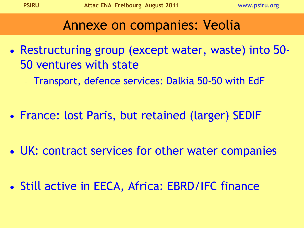#### Annexe on companies: Veolia

- Restructuring group (except water, waste) into 50- 50 ventures with state
	- Transport, defence services: Dalkia 50-50 with EdF
- France: lost Paris, but retained (larger) SEDIF
- UK: contract services for other water companies
- Still active in EECA, Africa: EBRD/IFC finance